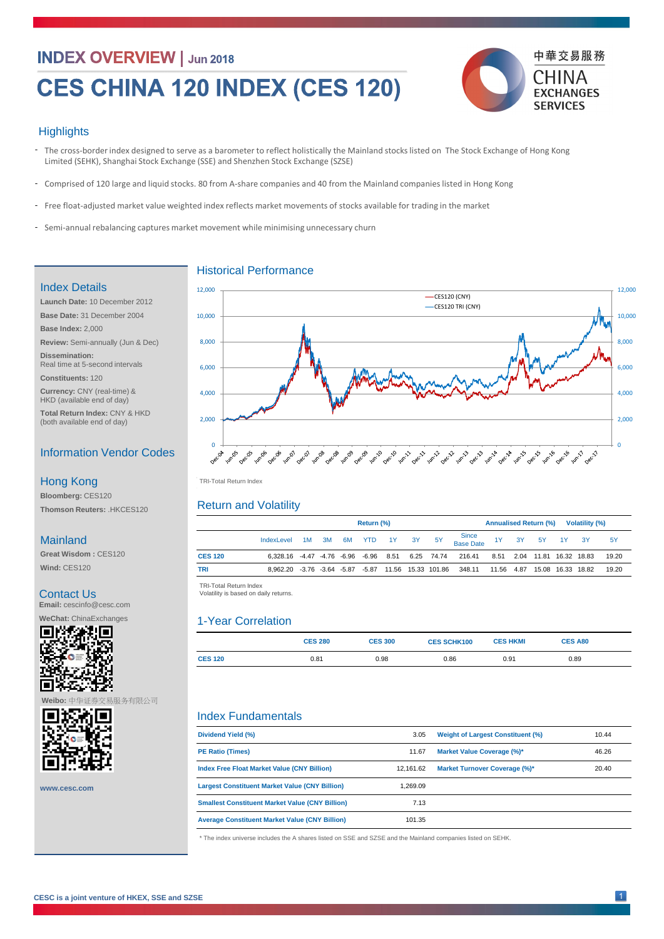# **INDEX OVERVIEW | Jun 2018**

# CES CHINA 120 INDEX (CES 120)



# **Highlights**

- The cross-border index designed to serve as a barometer to reflect holistically the Mainland stocks listed on The Stock Exchange of Hong Kong Limited (SEHK), Shanghai Stock Exchange (SSE) and Shenzhen Stock Exchange (SZSE)
- Comprised of 120 large and liquid stocks. 80 from A-share companies and 40 from the Mainland companies listed in Hong Kong
- Free float-adjusted market value weighted index reflects market movements of stocks available for trading in the market

|                | Return (%)                                        |           |  |    |            |          | <b>Annualised Return (%)</b><br><b>Volatility (%)</b> |                                                            |            |  |  |                                 |       |           |
|----------------|---------------------------------------------------|-----------|--|----|------------|----------|-------------------------------------------------------|------------------------------------------------------------|------------|--|--|---------------------------------|-------|-----------|
|                | IndexLevel                                        | $1M$ $3M$ |  | 6M | <b>YTD</b> | 1Y 3Y 5Y |                                                       | Since<br>Base Date                                         |            |  |  | 1Y 3Y 5Y 1Y                     | $-3Y$ | <b>5Y</b> |
| <b>CES 120</b> | $6,328.16$ $-4.47$ $-4.76$ $-6.96$ $-6.96$ $8.51$ |           |  |    |            |          |                                                       | 6.25 74.74  216.41                                         |            |  |  | 8.51  2.04  11.81  16.32  18.83 |       | 19.20     |
| <b>TRI</b>     |                                                   |           |  |    |            |          |                                                       | 8,962.20 -3.76 -3.64 -5.87 -5.87 11.56 15.33 101.86 348.11 | 11.56 4.87 |  |  | 15.08  16.33  18.82             |       | 19.20     |

|                | <b>CES 280</b> | <b>CES 300</b> | <b>CES SCHK100</b> | <b>CES HKMI</b> | <b>CES A80</b> |  |
|----------------|----------------|----------------|--------------------|-----------------|----------------|--|
| <b>CES 120</b> | 0.81           | 0.98           | $0.86\,$           | 0.91            | 0.89           |  |

**Dividend Yield (%)**

TRI -Total Return Index TRI-Total Return Index



 TRI -Total Return Index TRI-Total Return Index Volatility is based on daily returns. Volatility is based on daily returns.

|              | <b>PE Ratio (Times)</b>                                                                                      | 11.67     | <b>Market Value Coverage (%)*</b>    | 46.26 |  |  |  |  |
|--------------|--------------------------------------------------------------------------------------------------------------|-----------|--------------------------------------|-------|--|--|--|--|
|              | <b>Index Free Float Market Value (CNY Billion)</b>                                                           | 12,161.62 | <b>Market Turnover Coverage (%)*</b> | 20.40 |  |  |  |  |
| www.cesc.com | <b>Largest Constituent Market Value (CNY Billion)</b>                                                        | 1,269.09  |                                      |       |  |  |  |  |
|              | <b>Smallest Constituent Market Value (CNY Billion)</b>                                                       | 7.13      |                                      |       |  |  |  |  |
|              | <b>Average Constituent Market Value (CNY Billion)</b>                                                        | 101.35    |                                      |       |  |  |  |  |
|              | * The index universe includes the A shares listed on SSE and SZSE and the Mainland companies listed on SEHK. |           |                                      |       |  |  |  |  |

**CESC is a joint venture of HKEX, SSE and SZSE** 



Historical Performance

- Semi-annual rebalancing captures market movement while minimising unnecessary churn

# Return and Volatility

# 1-Year Correlation

# Index Fundamentals

# Index Details

**Launch Date:** 10 December 2012 **Base Date:** 31 December 2004 **Base Index:** 2,000 **Review:** Semi-annually (Jun & Dec) **Dissemination:**  Real time at 5-second intervals

**Constituents:** 120

**Currency:** CNY (real-time) & HKD (available end of day)

**Total Return Index:** CNY & HKD (both available end of day)

Information Vendor Codes

**Bloomberg:** CES120 **Thomson Reuters:** .HKCES120

Hong Kong

#### Mainland

**Great Wisdom :** CES120

**Wind:** CES120

# Contact Us

**Email:** cescinfo@cesc.com

**WeChat:** ChinaExchanges



**Weibo:** 中华证券交易服务有限公司